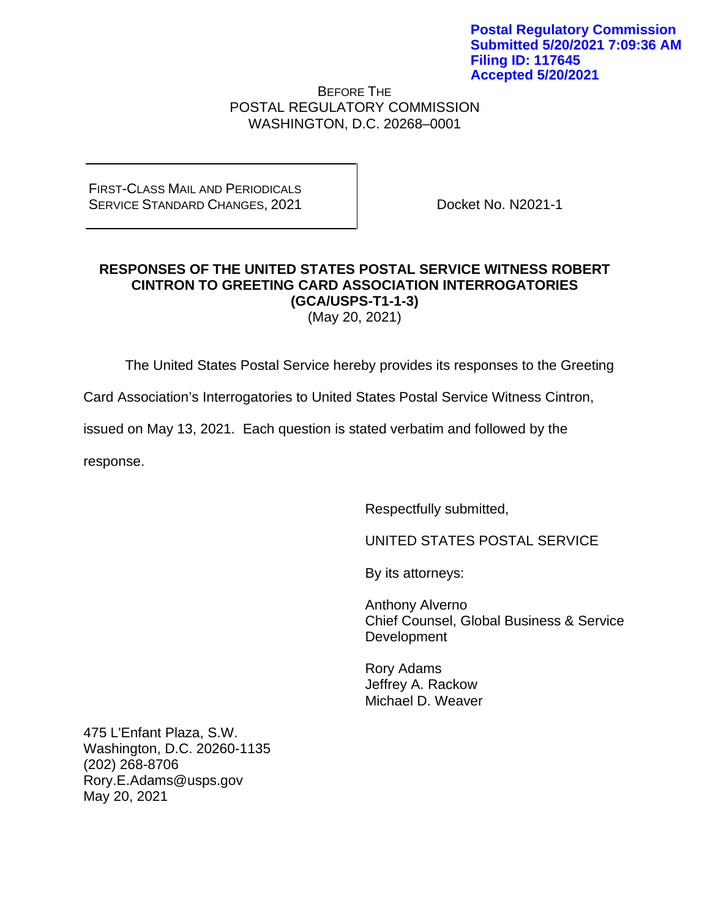BEFORE THE POSTAL REGULATORY COMMISSION WASHINGTON, D.C. 20268–0001

FIRST-CLASS MAIL AND PERIODICALS SERVICE STANDARD CHANGES, 2021

Docket No. N2021-1

# **RESPONSES OF THE UNITED STATES POSTAL SERVICE WITNESS ROBERT CINTRON TO GREETING CARD ASSOCIATION INTERROGATORIES (GCA/USPS-T1-1-3)**

(May 20, 2021)

The United States Postal Service hereby provides its responses to the Greeting

Card Association's Interrogatories to United States Postal Service Witness Cintron,

issued on May 13, 2021. Each question is stated verbatim and followed by the

response.

Respectfully submitted,

UNITED STATES POSTAL SERVICE

By its attorneys:

Anthony Alverno Chief Counsel, Global Business & Service Development

Rory Adams Jeffrey A. Rackow Michael D. Weaver

475 L'Enfant Plaza, S.W. Washington, D.C. 20260-1135 (202) 268-8706 Rory.E.Adams@usps.gov May 20, 2021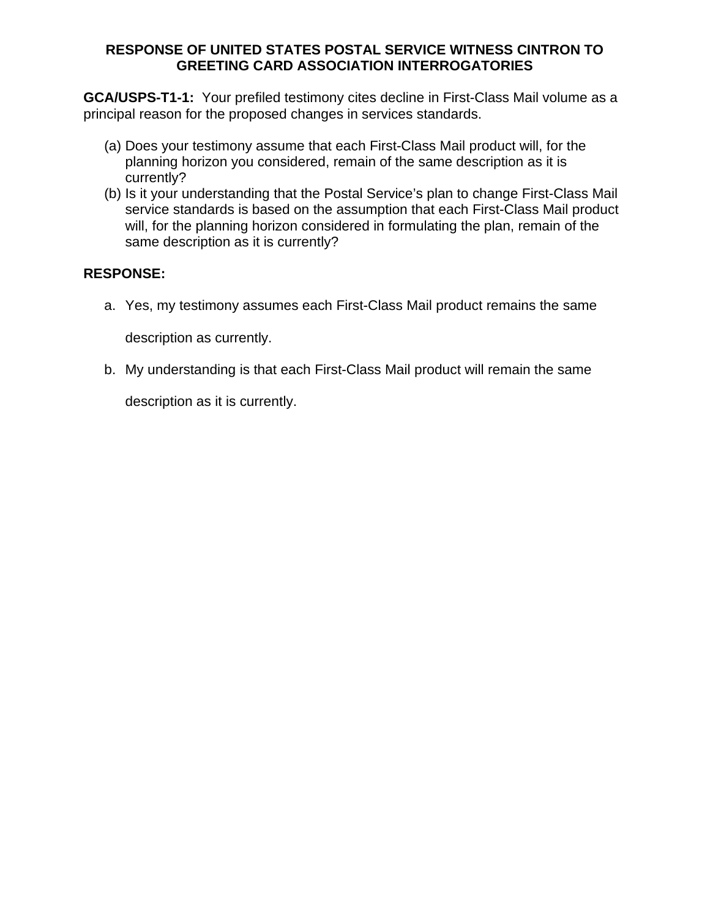#### **RESPONSE OF UNITED STATES POSTAL SERVICE WITNESS CINTRON TO GREETING CARD ASSOCIATION INTERROGATORIES**

**GCA/USPS-T1-1:** Your prefiled testimony cites decline in First-Class Mail volume as a principal reason for the proposed changes in services standards.

- (a) Does your testimony assume that each First-Class Mail product will, for the planning horizon you considered, remain of the same description as it is currently?
- (b) Is it your understanding that the Postal Service's plan to change First-Class Mail service standards is based on the assumption that each First-Class Mail product will, for the planning horizon considered in formulating the plan, remain of the same description as it is currently?

## **RESPONSE:**

a. Yes, my testimony assumes each First-Class Mail product remains the same

description as currently.

b. My understanding is that each First-Class Mail product will remain the same

description as it is currently.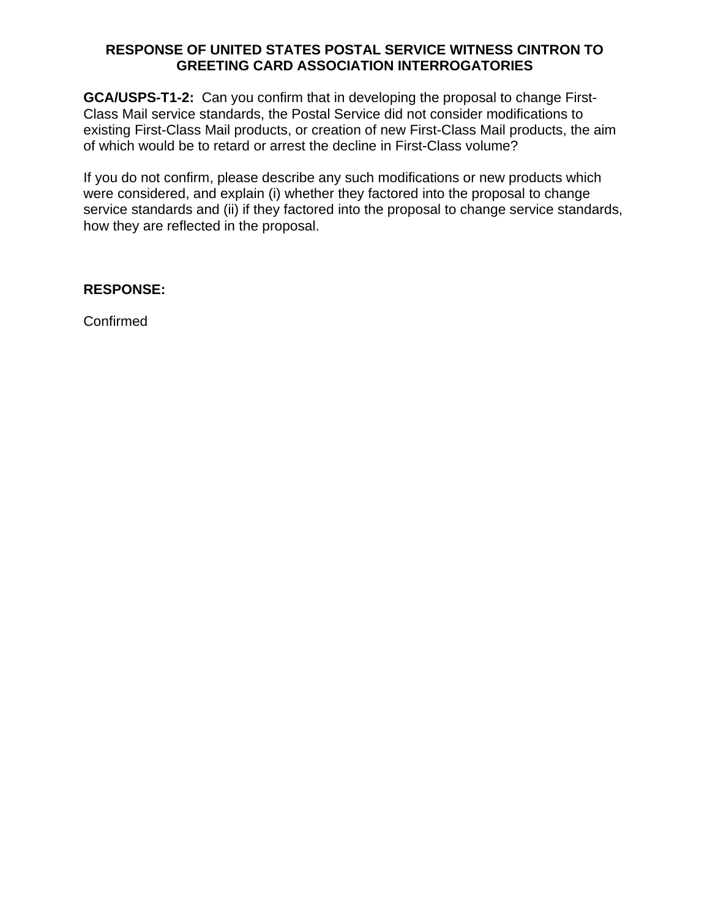#### **RESPONSE OF UNITED STATES POSTAL SERVICE WITNESS CINTRON TO GREETING CARD ASSOCIATION INTERROGATORIES**

**GCA/USPS-T1-2:** Can you confirm that in developing the proposal to change First-Class Mail service standards, the Postal Service did not consider modifications to existing First-Class Mail products, or creation of new First-Class Mail products, the aim of which would be to retard or arrest the decline in First-Class volume?

If you do not confirm, please describe any such modifications or new products which were considered, and explain (i) whether they factored into the proposal to change service standards and (ii) if they factored into the proposal to change service standards, how they are reflected in the proposal.

## **RESPONSE:**

Confirmed